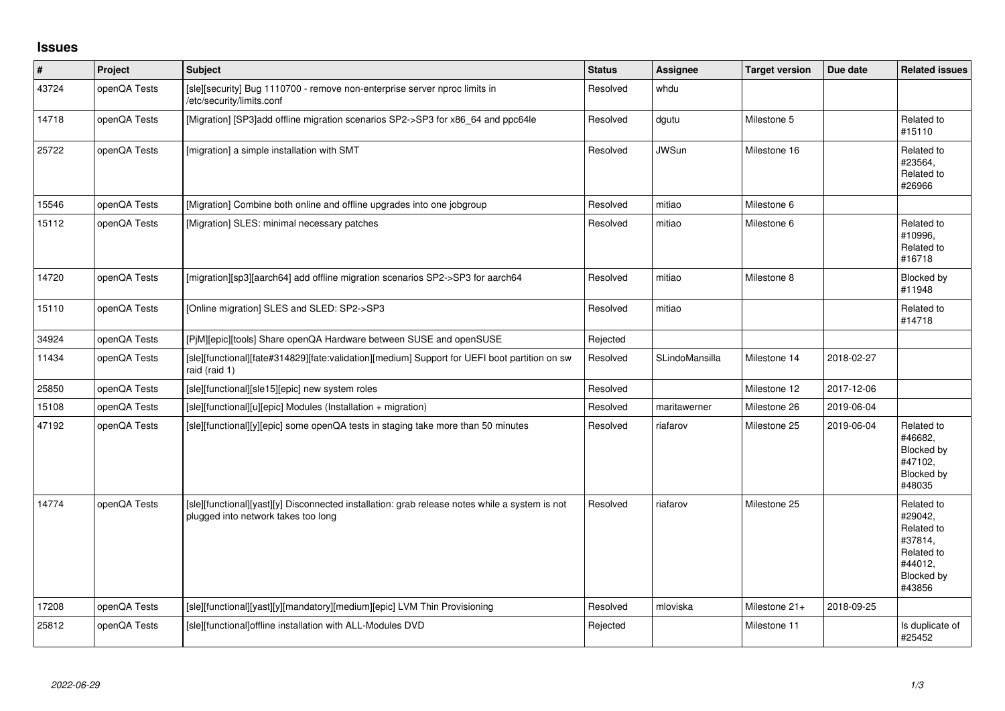## **Issues**

| $\vert$ # | Project      | <b>Subject</b>                                                                                                                        | <b>Status</b> | <b>Assignee</b> | <b>Target version</b> | Due date   | <b>Related issues</b>                                                                           |
|-----------|--------------|---------------------------------------------------------------------------------------------------------------------------------------|---------------|-----------------|-----------------------|------------|-------------------------------------------------------------------------------------------------|
| 43724     | openQA Tests | [sle][security] Bug 1110700 - remove non-enterprise server nproc limits in<br>/etc/security/limits.conf                               | Resolved      | whdu            |                       |            |                                                                                                 |
| 14718     | openQA Tests | [Migration] [SP3]add offline migration scenarios SP2->SP3 for x86 64 and ppc64le                                                      | Resolved      | dgutu           | Milestone 5           |            | Related to<br>#15110                                                                            |
| 25722     | openQA Tests | [migration] a simple installation with SMT                                                                                            | Resolved      | <b>JWSun</b>    | Milestone 16          |            | Related to<br>#23564,<br>Related to<br>#26966                                                   |
| 15546     | openQA Tests | [Migration] Combine both online and offline upgrades into one jobgroup                                                                | Resolved      | mitiao          | Milestone 6           |            |                                                                                                 |
| 15112     | openQA Tests | [Migration] SLES: minimal necessary patches                                                                                           | Resolved      | mitiao          | Milestone 6           |            | Related to<br>#10996,<br>Related to<br>#16718                                                   |
| 14720     | openQA Tests | [migration][sp3][aarch64] add offline migration scenarios SP2->SP3 for aarch64                                                        | Resolved      | mitiao          | Milestone 8           |            | Blocked by<br>#11948                                                                            |
| 15110     | openQA Tests | [Online migration] SLES and SLED: SP2->SP3                                                                                            | Resolved      | mitiao          |                       |            | Related to<br>#14718                                                                            |
| 34924     | openQA Tests | [PjM][epic][tools] Share openQA Hardware between SUSE and openSUSE                                                                    | Rejected      |                 |                       |            |                                                                                                 |
| 11434     | openQA Tests | [sle][functional][fate#314829][fate:validation][medium] Support for UEFI boot partition on sw<br>raid (raid 1)                        | Resolved      | SLindoMansilla  | Milestone 14          | 2018-02-27 |                                                                                                 |
| 25850     | openQA Tests | [sle][functional][sle15][epic] new system roles                                                                                       | Resolved      |                 | Milestone 12          | 2017-12-06 |                                                                                                 |
| 15108     | openQA Tests | [sle][functional][u][epic] Modules (Installation + migration)                                                                         | Resolved      | maritawerner    | Milestone 26          | 2019-06-04 |                                                                                                 |
| 47192     | openQA Tests | [sle][functional][y][epic] some openQA tests in staging take more than 50 minutes                                                     | Resolved      | riafarov        | Milestone 25          | 2019-06-04 | Related to<br>#46682,<br>Blocked by<br>#47102,<br>Blocked by<br>#48035                          |
| 14774     | openQA Tests | [sle][functional][yast][y] Disconnected installation: grab release notes while a system is not<br>plugged into network takes too long | Resolved      | riafarov        | Milestone 25          |            | Related to<br>#29042,<br>Related to<br>#37814,<br>Related to<br>#44012.<br>Blocked by<br>#43856 |
| 17208     | openQA Tests | [sle][functional][yast][y][mandatory][medium][epic] LVM Thin Provisioning                                                             | Resolved      | mloviska        | Milestone 21+         | 2018-09-25 |                                                                                                 |
| 25812     | openQA Tests | [sle][functional]offline installation with ALL-Modules DVD                                                                            | Rejected      |                 | Milestone 11          |            | Is duplicate of<br>#25452                                                                       |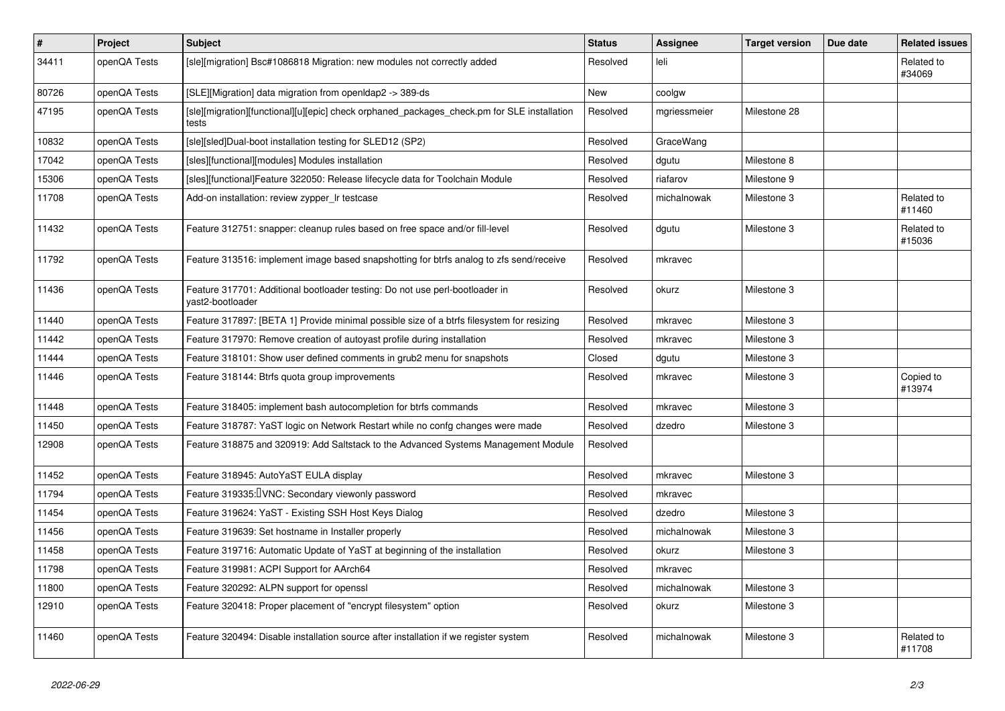| $\vert$ # | Project      | <b>Subject</b>                                                                                       | <b>Status</b> | <b>Assignee</b> | <b>Target version</b> | Due date | <b>Related issues</b> |
|-----------|--------------|------------------------------------------------------------------------------------------------------|---------------|-----------------|-----------------------|----------|-----------------------|
| 34411     | openQA Tests | [sle][migration] Bsc#1086818 Migration: new modules not correctly added                              | Resolved      | leli            |                       |          | Related to<br>#34069  |
| 80726     | openQA Tests | [SLE][Migration] data migration from openIdap2 -> 389-ds                                             | <b>New</b>    | coolgw          |                       |          |                       |
| 47195     | openQA Tests | [sle][migration][functional][u][epic] check orphaned_packages_check.pm for SLE installation<br>tests | Resolved      | mgriessmeier    | Milestone 28          |          |                       |
| 10832     | openQA Tests | [sle][sled]Dual-boot installation testing for SLED12 (SP2)                                           | Resolved      | GraceWang       |                       |          |                       |
| 17042     | openQA Tests | [sles][functional][modules] Modules installation                                                     | Resolved      | dgutu           | Milestone 8           |          |                       |
| 15306     | openQA Tests | [sles][functional]Feature 322050: Release lifecycle data for Toolchain Module                        | Resolved      | riafarov        | Milestone 9           |          |                       |
| 11708     | openQA Tests | Add-on installation: review zypper_Ir testcase                                                       | Resolved      | michalnowak     | Milestone 3           |          | Related to<br>#11460  |
| 11432     | openQA Tests | Feature 312751: snapper: cleanup rules based on free space and/or fill-level                         | Resolved      | dgutu           | Milestone 3           |          | Related to<br>#15036  |
| 11792     | openQA Tests | Feature 313516: implement image based snapshotting for btrfs analog to zfs send/receive              | Resolved      | mkravec         |                       |          |                       |
| 11436     | openQA Tests | Feature 317701: Additional bootloader testing: Do not use perl-bootloader in<br>vast2-bootloader     | Resolved      | okurz           | Milestone 3           |          |                       |
| 11440     | openQA Tests | Feature 317897: [BETA 1] Provide minimal possible size of a btrfs filesystem for resizing            | Resolved      | mkravec         | Milestone 3           |          |                       |
| 11442     | openQA Tests | Feature 317970: Remove creation of autoyast profile during installation                              | Resolved      | mkravec         | Milestone 3           |          |                       |
| 11444     | openQA Tests | Feature 318101: Show user defined comments in grub2 menu for snapshots                               | Closed        | dgutu           | Milestone 3           |          |                       |
| 11446     | openQA Tests | Feature 318144: Btrfs quota group improvements                                                       | Resolved      | mkravec         | Milestone 3           |          | Copied to<br>#13974   |
| 11448     | openQA Tests | Feature 318405: implement bash autocompletion for btrfs commands                                     | Resolved      | mkravec         | Milestone 3           |          |                       |
| 11450     | openQA Tests | Feature 318787: YaST logic on Network Restart while no confg changes were made                       | Resolved      | dzedro          | Milestone 3           |          |                       |
| 12908     | openQA Tests | Feature 318875 and 320919: Add Saltstack to the Advanced Systems Management Module                   | Resolved      |                 |                       |          |                       |
| 11452     | openQA Tests | Feature 318945: AutoYaST EULA display                                                                | Resolved      | mkravec         | Milestone 3           |          |                       |
| 11794     | openQA Tests | Feature 319335: <b>VNC:</b> Secondary viewonly password                                              | Resolved      | mkravec         |                       |          |                       |
| 11454     | openQA Tests | Feature 319624: YaST - Existing SSH Host Keys Dialog                                                 | Resolved      | dzedro          | Milestone 3           |          |                       |
| 11456     | openQA Tests | Feature 319639: Set hostname in Installer properly                                                   | Resolved      | michalnowak     | Milestone 3           |          |                       |
| 11458     | openQA Tests | Feature 319716: Automatic Update of YaST at beginning of the installation                            | Resolved      | okurz           | Milestone 3           |          |                       |
| 11798     | openQA Tests | Feature 319981: ACPI Support for AArch64                                                             | Resolved      | mkravec         |                       |          |                       |
| 11800     | openQA Tests | Feature 320292: ALPN support for openssl                                                             | Resolved      | michalnowak     | Milestone 3           |          |                       |
| 12910     | openQA Tests | Feature 320418: Proper placement of "encrypt filesystem" option                                      | Resolved      | okurz           | Milestone 3           |          |                       |
| 11460     | openQA Tests | Feature 320494: Disable installation source after installation if we register system                 | Resolved      | michalnowak     | Milestone 3           |          | Related to<br>#11708  |